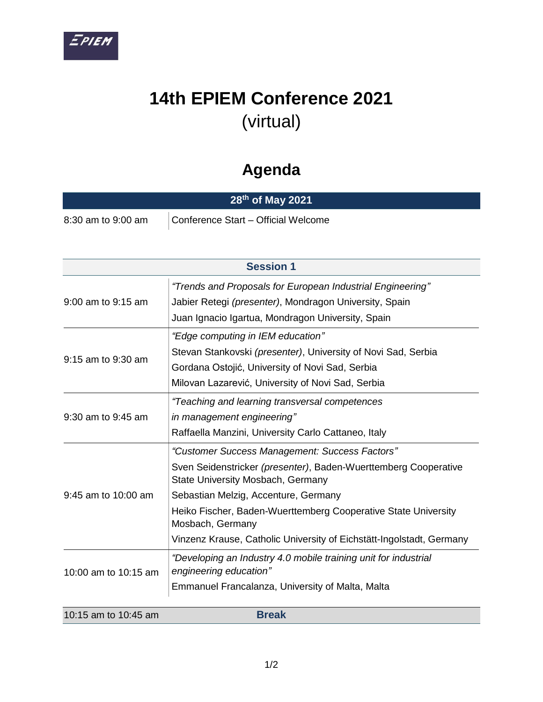

## **14th EPIEM Conference 2021**  (virtual)

## **Agenda**

| 28 <sup>th</sup> of May 2021 |                                     |  |  |
|------------------------------|-------------------------------------|--|--|
| 8:30 am to 9:00 am           | Conference Start - Official Welcome |  |  |

| <b>Session 1</b>       |                                                                                                                                                                                                                                                                                                                                                              |  |
|------------------------|--------------------------------------------------------------------------------------------------------------------------------------------------------------------------------------------------------------------------------------------------------------------------------------------------------------------------------------------------------------|--|
| 9:00 am to 9:15 am     | "Trends and Proposals for European Industrial Engineering"<br>Jabier Retegi (presenter), Mondragon University, Spain<br>Juan Ignacio Igartua, Mondragon University, Spain                                                                                                                                                                                    |  |
| 9:15 am to 9:30 am     | "Edge computing in IEM education"<br>Stevan Stankovski (presenter), University of Novi Sad, Serbia<br>Gordana Ostojić, University of Novi Sad, Serbia<br>Milovan Lazarević, University of Novi Sad, Serbia                                                                                                                                                   |  |
| $9:30$ am to $9:45$ am | "Teaching and learning transversal competences<br>in management engineering"<br>Raffaella Manzini, University Carlo Cattaneo, Italy                                                                                                                                                                                                                          |  |
| 9:45 am to 10:00 am    | "Customer Success Management: Success Factors"<br>Sven Seidenstricker (presenter), Baden-Wuerttemberg Cooperative<br>State University Mosbach, Germany<br>Sebastian Melzig, Accenture, Germany<br>Heiko Fischer, Baden-Wuerttemberg Cooperative State University<br>Mosbach, Germany<br>Vinzenz Krause, Catholic University of Eichstätt-Ingolstadt, Germany |  |
| 10:00 am to 10:15 am   | "Developing an Industry 4.0 mobile training unit for industrial<br>engineering education"<br>Emmanuel Francalanza, University of Malta, Malta                                                                                                                                                                                                                |  |

| 10:15 am to 10:45 am<br><b>Break</b> |  |
|--------------------------------------|--|
|--------------------------------------|--|